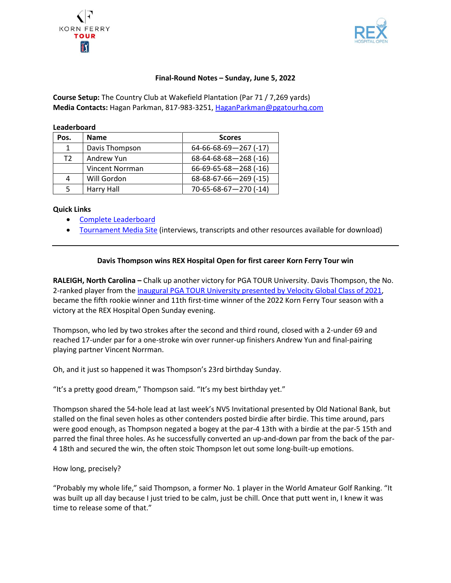



## **Final-Round Notes – Sunday, June 5, 2022**

**Course Setup:** The Country Club at Wakefield Plantation (Par 71 / 7,269 yards) **Media Contacts:** Hagan Parkman, 817-983-3251, [HaganParkman@pgatourhq.com](mailto:HaganParkman@pgatourhq.com)

| Pos.           | <b>Name</b>     | <b>Scores</b>                   |
|----------------|-----------------|---------------------------------|
| 1              | Davis Thompson  | $64-66-68-69-267$ (-17)         |
| T <sub>2</sub> | Andrew Yun      | $68 - 64 - 68 - 68 - 268$ (-16) |
|                | Vincent Norrman | 66-69-65-68-268 (-16)           |
| 4              | Will Gordon     | $68-68-67-66-269$ (-15)         |
|                | Harry Hall      | 70-65-68-67-270 (-14)           |

#### **Quick Links**

**Leaderboard**

- [Complete Leaderboard](https://www.pgatour.com/korn-ferry-tour/leaderboard.html)
- [Tournament Media Site](https://pgatourmedia.pgatourhq.com/tours/2022/kornferrytour/rexhospitalopen) (interviews, transcripts and other resources available for download)

### **Davis Thompson wins REX Hospital Open for first career Korn Ferry Tour win**

**RALEIGH, North Carolina –** Chalk up another victory for PGA TOUR University. Davis Thompson, the No. 2-ranked player from th[e inaugural PGA TOUR University presented by Velocity Global Class of 2021,](https://www.pgatour.com/university/news/2021/06/01/john-pak-headlines-15-players-pga-tour-university-class-of-2021.html) became the fifth rookie winner and 11th first-time winner of the 2022 Korn Ferry Tour season with a victory at the REX Hospital Open Sunday evening.

Thompson, who led by two strokes after the second and third round, closed with a 2-under 69 and reached 17-under par for a one-stroke win over runner-up finishers Andrew Yun and final-pairing playing partner Vincent Norrman.

Oh, and it just so happened it was Thompson's 23rd birthday Sunday.

"It's a pretty good dream," Thompson said. "It's my best birthday yet."

Thompson shared the 54-hole lead at last week's NV5 Invitational presented by Old National Bank, but stalled on the final seven holes as other contenders posted birdie after birdie. This time around, pars were good enough, as Thompson negated a bogey at the par-4 13th with a birdie at the par-5 15th and parred the final three holes. As he successfully converted an up-and-down par from the back of the par-4 18th and secured the win, the often stoic Thompson let out some long-built-up emotions.

#### How long, precisely?

"Probably my whole life," said Thompson, a former No. 1 player in the World Amateur Golf Ranking. "It was built up all day because I just tried to be calm, just be chill. Once that putt went in, I knew it was time to release some of that."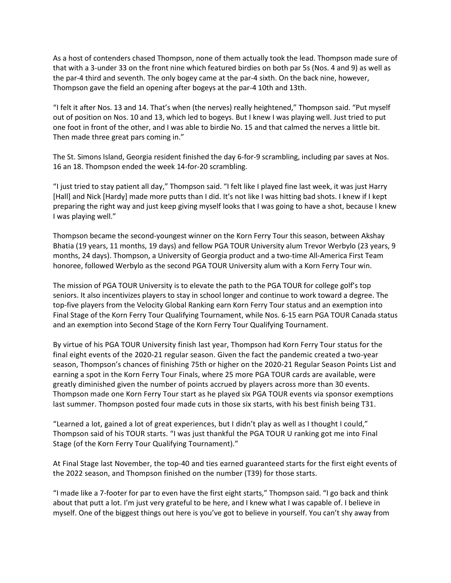As a host of contenders chased Thompson, none of them actually took the lead. Thompson made sure of that with a 3-under 33 on the front nine which featured birdies on both par 5s (Nos. 4 and 9) as well as the par-4 third and seventh. The only bogey came at the par-4 sixth. On the back nine, however, Thompson gave the field an opening after bogeys at the par-4 10th and 13th.

"I felt it after Nos. 13 and 14. That's when (the nerves) really heightened," Thompson said. "Put myself out of position on Nos. 10 and 13, which led to bogeys. But I knew I was playing well. Just tried to put one foot in front of the other, and I was able to birdie No. 15 and that calmed the nerves a little bit. Then made three great pars coming in."

The St. Simons Island, Georgia resident finished the day 6-for-9 scrambling, including par saves at Nos. 16 an 18. Thompson ended the week 14-for-20 scrambling.

"I just tried to stay patient all day," Thompson said. "I felt like I played fine last week, it was just Harry [Hall] and Nick [Hardy] made more putts than I did. It's not like I was hitting bad shots. I knew if I kept preparing the right way and just keep giving myself looks that I was going to have a shot, because I knew I was playing well."

Thompson became the second-youngest winner on the Korn Ferry Tour this season, between Akshay Bhatia (19 years, 11 months, 19 days) and fellow PGA TOUR University alum Trevor Werbylo (23 years, 9 months, 24 days). Thompson, a University of Georgia product and a two-time All-America First Team honoree, followed Werbylo as the second PGA TOUR University alum with a Korn Ferry Tour win.

The mission of PGA TOUR University is to elevate the path to the PGA TOUR for college golf's top seniors. It also incentivizes players to stay in school longer and continue to work toward a degree. The top-five players from the Velocity Global Ranking earn Korn Ferry Tour status and an exemption into Final Stage of the Korn Ferry Tour Qualifying Tournament, while Nos. 6-15 earn PGA TOUR Canada status and an exemption into Second Stage of the Korn Ferry Tour Qualifying Tournament.

By virtue of his PGA TOUR University finish last year, Thompson had Korn Ferry Tour status for the final eight events of the 2020-21 regular season. Given the fact the pandemic created a two-year season, Thompson's chances of finishing 75th or higher on the 2020-21 Regular Season Points List and earning a spot in the Korn Ferry Tour Finals, where 25 more PGA TOUR cards are available, were greatly diminished given the number of points accrued by players across more than 30 events. Thompson made one Korn Ferry Tour start as he played six PGA TOUR events via sponsor exemptions last summer. Thompson posted four made cuts in those six starts, with his best finish being T31.

"Learned a lot, gained a lot of great experiences, but I didn't play as well as I thought I could," Thompson said of his TOUR starts. "I was just thankful the PGA TOUR U ranking got me into Final Stage (of the Korn Ferry Tour Qualifying Tournament)."

At Final Stage last November, the top-40 and ties earned guaranteed starts for the first eight events of the 2022 season, and Thompson finished on the number (T39) for those starts.

"I made like a 7-footer for par to even have the first eight starts," Thompson said. "I go back and think about that putt a lot. I'm just very grateful to be here, and I knew what I was capable of. I believe in myself. One of the biggest things out here is you've got to believe in yourself. You can't shy away from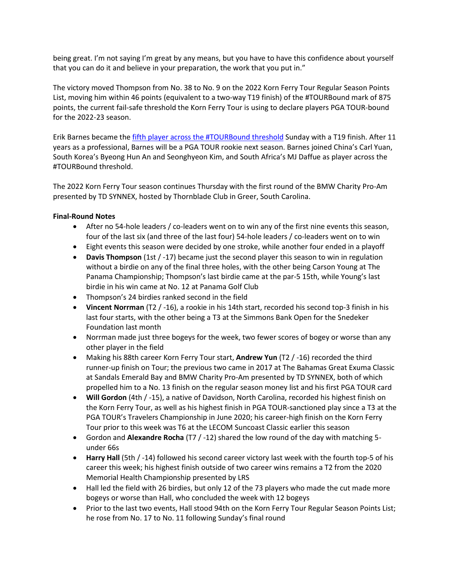being great. I'm not saying I'm great by any means, but you have to have this confidence about yourself that you can do it and believe in your preparation, the work that you put in."

The victory moved Thompson from No. 38 to No. 9 on the 2022 Korn Ferry Tour Regular Season Points List, moving him within 46 points (equivalent to a two-way T19 finish) of the #TOURBound mark of 875 points, the current fail-safe threshold the Korn Ferry Tour is using to declare players PGA TOUR-bound for the 2022-23 season.

Erik Barnes became th[e fifth player across the](https://www.pgatour.com/korn-ferry-tour/tour-bound/06/05/erik-barnes-grocery-replenishment-specialist-veteran-grind-journey-pga-tour-card-secured-fail-safe-threshold-publix.html) #TOURBound threshold Sunday with a T19 finish. After 11 years as a professional, Barnes will be a PGA TOUR rookie next season. Barnes joined China's Carl Yuan, South Korea's Byeong Hun An and Seonghyeon Kim, and South Africa's MJ Daffue as player across the #TOURBound threshold.

The 2022 Korn Ferry Tour season continues Thursday with the first round of the BMW Charity Pro-Am presented by TD SYNNEX, hosted by Thornblade Club in Greer, South Carolina.

# **Final-Round Notes**

- After no 54-hole leaders / co-leaders went on to win any of the first nine events this season, four of the last six (and three of the last four) 54-hole leaders / co-leaders went on to win
- Eight events this season were decided by one stroke, while another four ended in a playoff
- **Davis Thompson** (1st / -17) became just the second player this season to win in regulation without a birdie on any of the final three holes, with the other being Carson Young at The Panama Championship; Thompson's last birdie came at the par-5 15th, while Young's last birdie in his win came at No. 12 at Panama Golf Club
- Thompson's 24 birdies ranked second in the field
- **Vincent Norrman** (T2 / -16), a rookie in his 14th start, recorded his second top-3 finish in his last four starts, with the other being a T3 at the Simmons Bank Open for the Snedeker Foundation last month
- Norrman made just three bogeys for the week, two fewer scores of bogey or worse than any other player in the field
- Making his 88th career Korn Ferry Tour start, **Andrew Yun** (T2 / -16) recorded the third runner-up finish on Tour; the previous two came in 2017 at The Bahamas Great Exuma Classic at Sandals Emerald Bay and BMW Charity Pro-Am presented by TD SYNNEX, both of which propelled him to a No. 13 finish on the regular season money list and his first PGA TOUR card
- **Will Gordon** (4th / -15), a native of Davidson, North Carolina, recorded his highest finish on the Korn Ferry Tour, as well as his highest finish in PGA TOUR-sanctioned play since a T3 at the PGA TOUR's Travelers Championship in June 2020; his career-high finish on the Korn Ferry Tour prior to this week was T6 at the LECOM Suncoast Classic earlier this season
- Gordon and **Alexandre Rocha** (T7 / -12) shared the low round of the day with matching 5 under 66s
- **Harry Hall** (5th / -14) followed his second career victory last week with the fourth top-5 of his career this week; his highest finish outside of two career wins remains a T2 from the 2020 Memorial Health Championship presented by LRS
- Hall led the field with 26 birdies, but only 12 of the 73 players who made the cut made more bogeys or worse than Hall, who concluded the week with 12 bogeys
- Prior to the last two events, Hall stood 94th on the Korn Ferry Tour Regular Season Points List; he rose from No. 17 to No. 11 following Sunday's final round